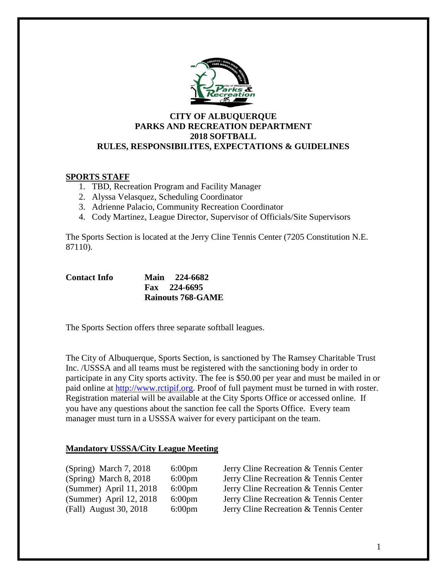

### **CITY OF ALBUQUERQUE PARKS AND RECREATION DEPARTMENT 2018 SOFTBALL RULES, RESPONSIBILITES, EXPECTATIONS & GUIDELINES**

### **SPORTS STAFF**

- 1. TBD, Recreation Program and Facility Manager
- 2. Alyssa Velasquez, Scheduling Coordinator
- 3. Adrienne Palacio, Community Recreation Coordinator
- 4. Cody Martinez, League Director, Supervisor of Officials/Site Supervisors

The Sports Section is located at the Jerry Cline Tennis Center (7205 Constitution N.E. 87110).

| <b>Contact Info</b> | Main 224-6682            |
|---------------------|--------------------------|
|                     | $Fax \quad 224-6695$     |
|                     | <b>Rainouts 768-GAME</b> |

The Sports Section offers three separate softball leagues.

The City of Albuquerque, Sports Section, is sanctioned by The Ramsey Charitable Trust Inc. /USSSA and all teams must be registered with the sanctioning body in order to participate in any City sports activity. The fee is \$50.00 per year and must be mailed in or paid online at [http://www.rctipif.org.](http://www.rctipif.org/) Proof of full payment must be turned in with roster. Registration material will be available at the City Sports Office or accessed online. If you have any questions about the sanction fee call the Sports Office. Every team manager must turn in a USSSA waiver for every participant on the team.

### **Mandatory USSSA/City League Meeting**

| (Spring) March 7, 2018  | $6:00$ pm |
|-------------------------|-----------|
| (Spring) March 8, 2018  | $6:00$ pm |
| (Summer) April 11, 2018 | $6:00$ pm |
| (Summer) April 12, 2018 | $6:00$ pm |
| (Fall) August 30, 2018  | $6:00$ pm |

Jerry Cline Recreation & Tennis Center Jerry Cline Recreation & Tennis Center Jerry Cline Recreation & Tennis Center Jerry Cline Recreation & Tennis Center Jerry Cline Recreation & Tennis Center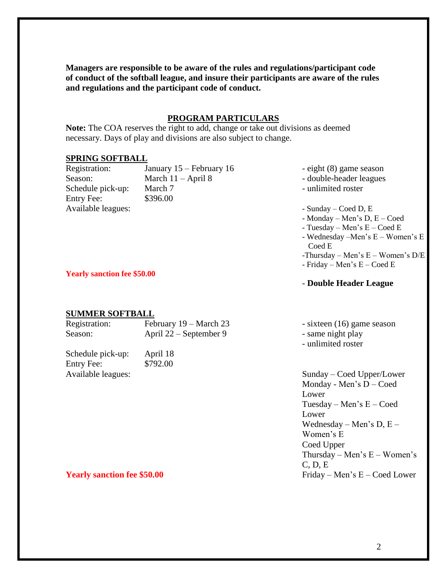**Managers are responsible to be aware of the rules and regulations/participant code of conduct of the softball league, and insure their participants are aware of the rules and regulations and the participant code of conduct.**

### **PROGRAM PARTICULARS**

**Note:** The COA reserves the right to add, change or take out divisions as deemed necessary. Days of play and divisions are also subject to change.

### **SPRING SOFTBALL**

| Registration:      | January 15 – February 16 |
|--------------------|--------------------------|
| Season:            | March $11 -$ April 8     |
| Schedule pick-up:  | March 7                  |
| Entry Fee:         | \$396.00                 |
| Available leagues: |                          |

- eight (8) game season
- double-header leagues
- unlimited roster
- $-$  Sunday Coed D, E
- Monday Men's D, E Coed
- Tuesday Men's E Coed E
- Wednesday –Men's E Women's E Coed E
- -Thursday Men's E Women's D/E
- Friday Men's E Coed E

### - **Double Header League**

### **SUMMER SOFTBALL**

Schedule pick-up: April 18 Entry Fee: \$792.00

**Yearly sanction fee \$50.00**

| Registration: | February 19 – March 23   | - sixteen (16) game season |
|---------------|--------------------------|----------------------------|
| Season:       | April $22$ – September 9 | - same night play          |
|               |                          | - unlimited roster         |

Available leagues: Sunday – Coed Upper/Lower Monday - Men's D – Coed Lower Tuesday – Men's E – Coed Lower Wednesday – Men's D,  $E$  – Women's E Coed Upper Thursday – Men's  $E$  – Women's C, D, E **Yearly sanction fee \$50.00** Friday – Men's E – Coed Lower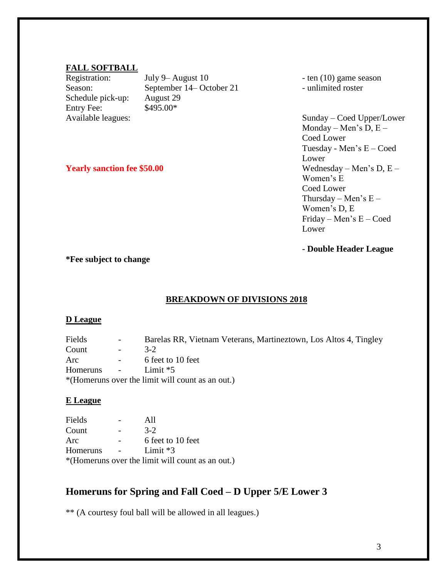### **FALL SOFTBALL**

Schedule pick-up: August 29 Entry Fee: \$495.00\*

Registration: July 9– August 10 - ten (10) game season Season: September 14– October 21 - unlimited roster

Available leagues: Sunday – Coed Upper/Lower Monday – Men's  $D, E$  – Coed Lower Tuesday - Men's E – Coed Lower **Yearly sanction fee \$50.00** Wednesday – Men's D, E – Women's E Coed Lower Thursday – Men's  $E -$ Women's D, E Friday – Men's E – Coed Lower

**- Double Header League**

**\*Fee subject to change**

### **BREAKDOWN OF DIVISIONS 2018**

### **D League**

Fields - Barelas RR, Vietnam Veterans, Martineztown, Los Altos 4, Tingley Count - 3-2 Arc - 6 feet to 10 feet Homeruns - Limit \*5 \*(Homeruns over the limit will count as an out.)

### **E League**

Fields - All Count - 3-2 Arc - 6 feet to 10 feet Homeruns - Limit \*3 \*(Homeruns over the limit will count as an out.)

### **Homeruns for Spring and Fall Coed – D Upper 5/E Lower 3**

\*\* (A courtesy foul ball will be allowed in all leagues.)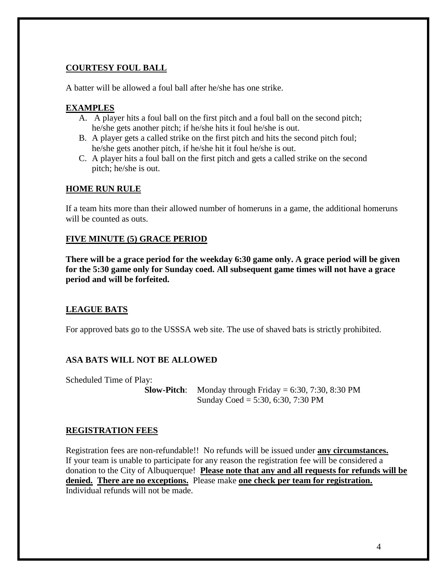### **COURTESY FOUL BALL**

A batter will be allowed a foul ball after he/she has one strike.

### **EXAMPLES**

- A. A player hits a foul ball on the first pitch and a foul ball on the second pitch; he/she gets another pitch; if he/she hits it foul he/she is out.
- B. A player gets a called strike on the first pitch and hits the second pitch foul; he/she gets another pitch, if he/she hit it foul he/she is out.
- C. A player hits a foul ball on the first pitch and gets a called strike on the second pitch; he/she is out.

### **HOME RUN RULE**

If a team hits more than their allowed number of homeruns in a game, the additional homeruns will be counted as outs.

### **FIVE MINUTE (5) GRACE PERIOD**

**There will be a grace period for the weekday 6:30 game only. A grace period will be given for the 5:30 game only for Sunday coed. All subsequent game times will not have a grace period and will be forfeited.** 

### **LEAGUE BATS**

For approved bats go to the USSSA web site. The use of shaved bats is strictly prohibited.

### **ASA BATS WILL NOT BE ALLOWED**

Scheduled Time of Play:

**Slow-Pitch**: Monday through Friday  $= 6:30, 7:30, 8:30 \text{ PM}$ Sunday Coed = 5:30, 6:30, 7:30 PM

### **REGISTRATION FEES**

Registration fees are non-refundable!! No refunds will be issued under **any circumstances.**  If your team is unable to participate for any reason the registration fee will be considered a donation to the City of Albuquerque! **Please note that any and all requests for refunds will be denied. There are no exceptions.** Please make **one check per team for registration.** Individual refunds will not be made.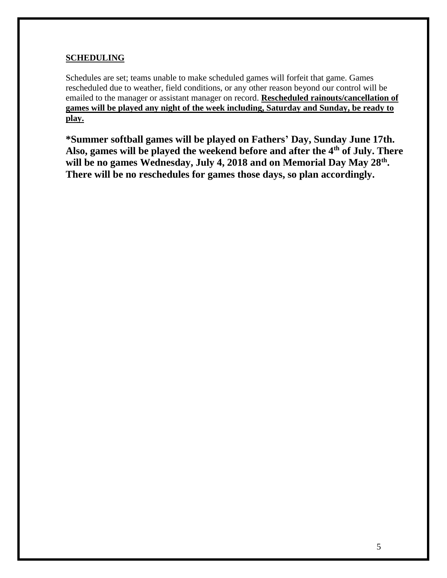### **SCHEDULING**

Schedules are set; teams unable to make scheduled games will forfeit that game. Games rescheduled due to weather, field conditions, or any other reason beyond our control will be emailed to the manager or assistant manager on record. **Rescheduled rainouts/cancellation of games will be played any night of the week including, Saturday and Sunday, be ready to play.**

**\*Summer softball games will be played on Fathers' Day, Sunday June 17th. Also, games will be played the weekend before and after the 4th of July. There will be no games Wednesday, July 4, 2018 and on Memorial Day May 28th . There will be no reschedules for games those days, so plan accordingly.**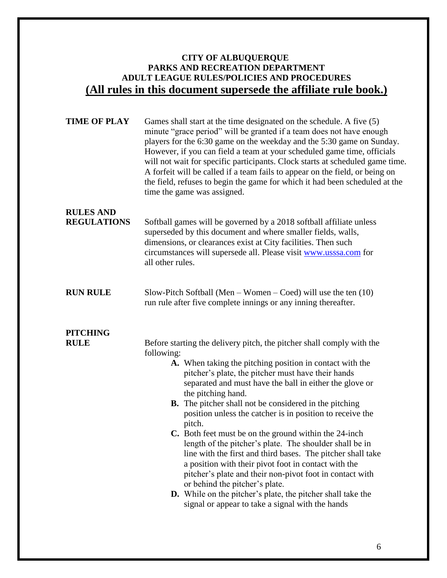### **CITY OF ALBUQUERQUE PARKS AND RECREATION DEPARTMENT ADULT LEAGUE RULES/POLICIES AND PROCEDURES (All rules in this document supersede the affiliate rule book.)**

| <b>TIME OF PLAY</b>                    | Games shall start at the time designated on the schedule. A five (5)<br>minute "grace period" will be granted if a team does not have enough<br>players for the 6:30 game on the weekday and the 5:30 game on Sunday.<br>However, if you can field a team at your scheduled game time, officials<br>will not wait for specific participants. Clock starts at scheduled game time.<br>A forfeit will be called if a team fails to appear on the field, or being on<br>the field, refuses to begin the game for which it had been scheduled at the<br>time the game was assigned.                                                                                                                                                                                                                                                                                                            |
|----------------------------------------|--------------------------------------------------------------------------------------------------------------------------------------------------------------------------------------------------------------------------------------------------------------------------------------------------------------------------------------------------------------------------------------------------------------------------------------------------------------------------------------------------------------------------------------------------------------------------------------------------------------------------------------------------------------------------------------------------------------------------------------------------------------------------------------------------------------------------------------------------------------------------------------------|
| <b>RULES AND</b><br><b>REGULATIONS</b> | Softball games will be governed by a 2018 softball affiliate unless<br>superseded by this document and where smaller fields, walls,<br>dimensions, or clearances exist at City facilities. Then such<br>circumstances will supersede all. Please visit www.usssa.com for<br>all other rules.                                                                                                                                                                                                                                                                                                                                                                                                                                                                                                                                                                                               |
| <b>RUN RULE</b>                        | Slow-Pitch Softball (Men – Women – Coed) will use the ten $(10)$<br>run rule after five complete innings or any inning thereafter.                                                                                                                                                                                                                                                                                                                                                                                                                                                                                                                                                                                                                                                                                                                                                         |
| <b>PITCHING</b><br><b>RULE</b>         | Before starting the delivery pitch, the pitcher shall comply with the<br>following:<br>A. When taking the pitching position in contact with the<br>pitcher's plate, the pitcher must have their hands<br>separated and must have the ball in either the glove or<br>the pitching hand.<br><b>B.</b> The pitcher shall not be considered in the pitching<br>position unless the catcher is in position to receive the<br>pitch.<br>C. Both feet must be on the ground within the 24-inch<br>length of the pitcher's plate. The shoulder shall be in<br>line with the first and third bases. The pitcher shall take<br>a position with their pivot foot in contact with the<br>pitcher's plate and their non-pivot foot in contact with<br>or behind the pitcher's plate.<br>D. While on the pitcher's plate, the pitcher shall take the<br>signal or appear to take a signal with the hands |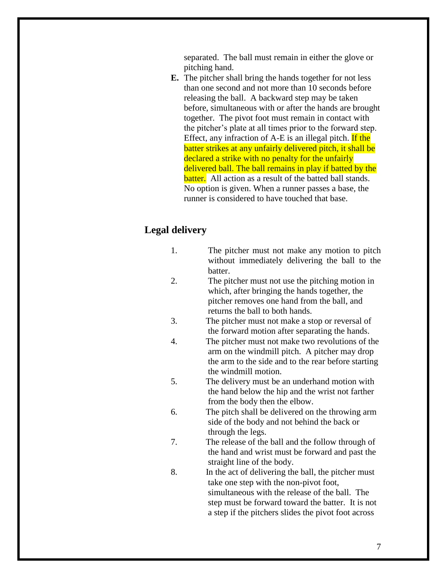separated. The ball must remain in either the glove or pitching hand.

**E.** The pitcher shall bring the hands together for not less than one second and not more than 10 seconds before releasing the ball. A backward step may be taken before, simultaneous with or after the hands are brought together. The pivot foot must remain in contact with the pitcher's plate at all times prior to the forward step. Effect, any infraction of A-E is an illegal pitch. If the batter strikes at any unfairly delivered pitch, it shall be declared a strike with no penalty for the unfairly delivered ball. The ball remains in play if batted by the batter. All action as a result of the batted ball stands. No option is given. When a runner passes a base, the runner is considered to have touched that base.

### **Legal delivery**

- 1. The pitcher must not make any motion to pitch without immediately delivering the ball to the batter.
- 2. The pitcher must not use the pitching motion in which, after bringing the hands together, the pitcher removes one hand from the ball, and returns the ball to both hands.
- 3. The pitcher must not make a stop or reversal of the forward motion after separating the hands.
- 4. The pitcher must not make two revolutions of the arm on the windmill pitch. A pitcher may drop the arm to the side and to the rear before starting the windmill motion.
- 5. The delivery must be an underhand motion with the hand below the hip and the wrist not farther from the body then the elbow.
- 6. The pitch shall be delivered on the throwing arm side of the body and not behind the back or through the legs.
- 7. The release of the ball and the follow through of the hand and wrist must be forward and past the straight line of the body.
- 8. In the act of delivering the ball, the pitcher must take one step with the non-pivot foot, simultaneous with the release of the ball. The step must be forward toward the batter. It is not a step if the pitchers slides the pivot foot across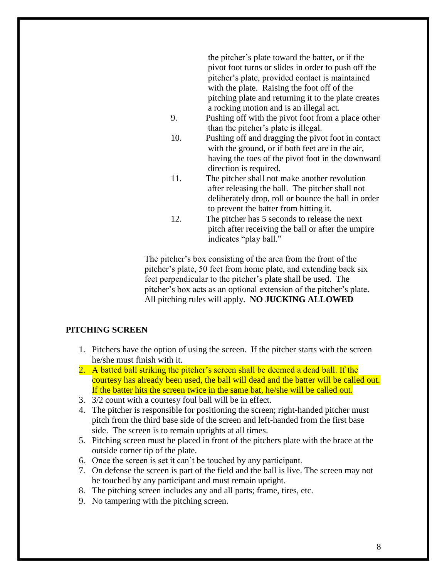the pitcher's plate toward the batter, or if the pivot foot turns or slides in order to push off the pitcher's plate, provided contact is maintained with the plate. Raising the foot off of the pitching plate and returning it to the plate creates a rocking motion and is an illegal act.

- 9. Pushing off with the pivot foot from a place other than the pitcher's plate is illegal.
- 10. Pushing off and dragging the pivot foot in contact with the ground, or if both feet are in the air, having the toes of the pivot foot in the downward direction is required.
- 11. The pitcher shall not make another revolution after releasing the ball. The pitcher shall not deliberately drop, roll or bounce the ball in order to prevent the batter from hitting it.
- 12. The pitcher has 5 seconds to release the next pitch after receiving the ball or after the umpire indicates "play ball."

The pitcher's box consisting of the area from the front of the pitcher's plate, 50 feet from home plate, and extending back six feet perpendicular to the pitcher's plate shall be used. The pitcher's box acts as an optional extension of the pitcher's plate. All pitching rules will apply. **NO JUCKING ALLOWED**

### **PITCHING SCREEN**

- 1. Pitchers have the option of using the screen. If the pitcher starts with the screen he/she must finish with it.
- 2. A batted ball striking the pitcher's screen shall be deemed a dead ball. If the courtesy has already been used, the ball will dead and the batter will be called out. If the batter hits the screen twice in the same bat, he/she will be called out.
- 3. 3/2 count with a courtesy foul ball will be in effect.
- 4. The pitcher is responsible for positioning the screen; right-handed pitcher must pitch from the third base side of the screen and left-handed from the first base side. The screen is to remain uprights at all times.
- 5. Pitching screen must be placed in front of the pitchers plate with the brace at the outside corner tip of the plate.
- 6. Once the screen is set it can't be touched by any participant.
- 7. On defense the screen is part of the field and the ball is live. The screen may not be touched by any participant and must remain upright.
- 8. The pitching screen includes any and all parts; frame, tires, etc.
- 9. No tampering with the pitching screen.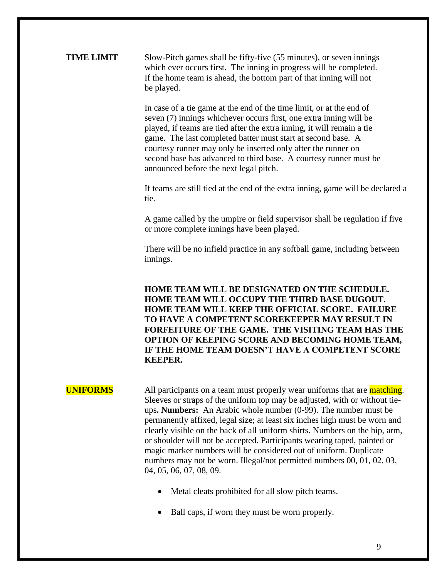### **TIME LIMIT** Slow-Pitch games shall be fifty-five (55 minutes), or seven innings which ever occurs first. The inning in progress will be completed. If the home team is ahead, the bottom part of that inning will not be played.

In case of a tie game at the end of the time limit, or at the end of seven (7) innings whichever occurs first, one extra inning will be played, if teams are tied after the extra inning, it will remain a tie game. The last completed batter must start at second base. A courtesy runner may only be inserted only after the runner on second base has advanced to third base. A courtesy runner must be announced before the next legal pitch.

If teams are still tied at the end of the extra inning, game will be declared a tie.

A game called by the umpire or field supervisor shall be regulation if five or more complete innings have been played.

There will be no infield practice in any softball game, including between innings.

**HOME TEAM WILL BE DESIGNATED ON THE SCHEDULE. HOME TEAM WILL OCCUPY THE THIRD BASE DUGOUT. HOME TEAM WILL KEEP THE OFFICIAL SCORE. FAILURE TO HAVE A COMPETENT SCOREKEEPER MAY RESULT IN FORFEITURE OF THE GAME. THE VISITING TEAM HAS THE OPTION OF KEEPING SCORE AND BECOMING HOME TEAM, IF THE HOME TEAM DOESN'T HAVE A COMPETENT SCORE KEEPER.**

**UNIFORMS** All participants on a team must properly wear uniforms that are matching. Sleeves or straps of the uniform top may be adjusted, with or without tieups**. Numbers:** An Arabic whole number (0-99). The number must be permanently affixed, legal size; at least six inches high must be worn and clearly visible on the back of all uniform shirts. Numbers on the hip, arm, or shoulder will not be accepted. Participants wearing taped, painted or magic marker numbers will be considered out of uniform. Duplicate numbers may not be worn. Illegal/not permitted numbers 00, 01, 02, 03, 04, 05, 06, 07, 08, 09.

- Metal cleats prohibited for all slow pitch teams.
- Ball caps, if worn they must be worn properly.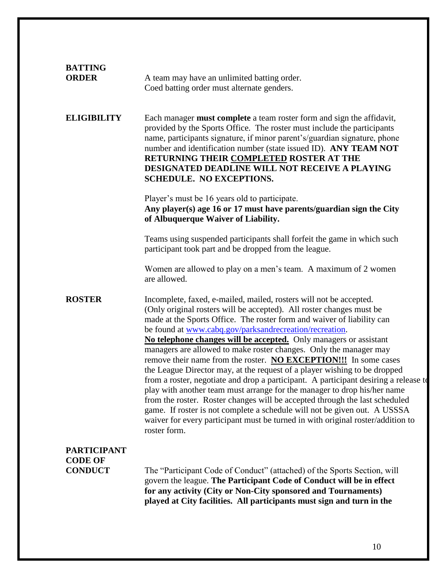| <b>BATTING</b><br><b>ORDER</b>                         | A team may have an unlimited batting order.<br>Coed batting order must alternate genders.                                                                                                                                                                                                                                                                                                                                                                                                                                                                                                                                                                                                                                                                                                                                                                                                                                                                                                                     |
|--------------------------------------------------------|---------------------------------------------------------------------------------------------------------------------------------------------------------------------------------------------------------------------------------------------------------------------------------------------------------------------------------------------------------------------------------------------------------------------------------------------------------------------------------------------------------------------------------------------------------------------------------------------------------------------------------------------------------------------------------------------------------------------------------------------------------------------------------------------------------------------------------------------------------------------------------------------------------------------------------------------------------------------------------------------------------------|
| <b>ELIGIBILITY</b>                                     | Each manager <b>must complete</b> a team roster form and sign the affidavit,<br>provided by the Sports Office. The roster must include the participants<br>name, participants signature, if minor parent's/guardian signature, phone<br>number and identification number (state issued ID). ANY TEAM NOT<br>RETURNING THEIR COMPLETED ROSTER AT THE<br>DESIGNATED DEADLINE WILL NOT RECEIVE A PLAYING<br><b>SCHEDULE. NO EXCEPTIONS.</b>                                                                                                                                                                                                                                                                                                                                                                                                                                                                                                                                                                      |
|                                                        | Player's must be 16 years old to participate.<br>Any player(s) age 16 or 17 must have parents/guardian sign the City<br>of Albuquerque Waiver of Liability.                                                                                                                                                                                                                                                                                                                                                                                                                                                                                                                                                                                                                                                                                                                                                                                                                                                   |
|                                                        | Teams using suspended participants shall forfeit the game in which such<br>participant took part and be dropped from the league.                                                                                                                                                                                                                                                                                                                                                                                                                                                                                                                                                                                                                                                                                                                                                                                                                                                                              |
|                                                        | Women are allowed to play on a men's team. A maximum of 2 women<br>are allowed.                                                                                                                                                                                                                                                                                                                                                                                                                                                                                                                                                                                                                                                                                                                                                                                                                                                                                                                               |
| <b>ROSTER</b>                                          | Incomplete, faxed, e-mailed, mailed, rosters will not be accepted.<br>(Only original rosters will be accepted). All roster changes must be<br>made at the Sports Office. The roster form and waiver of liability can<br>be found at www.cabq.gov/parksandrecreation/recreation.<br>No telephone changes will be accepted. Only managers or assistant<br>managers are allowed to make roster changes. Only the manager may<br>remove their name from the roster. NO EXCEPTION!!! In some cases<br>the League Director may, at the request of a player wishing to be dropped<br>from a roster, negotiate and drop a participant. A participant desiring a release to<br>play with another team must arrange for the manager to drop his/her name<br>from the roster. Roster changes will be accepted through the last scheduled<br>game. If roster is not complete a schedule will not be given out. A USSSA<br>waiver for every participant must be turned in with original roster/addition to<br>roster form. |
| <b>PARTICIPANT</b><br><b>CODE OF</b><br><b>CONDUCT</b> | The "Participant Code of Conduct" (attached) of the Sports Section, will<br>govern the league. The Participant Code of Conduct will be in effect<br>for any activity (City or Non-City sponsored and Tournaments)<br>played at City facilities. All participants must sign and turn in the                                                                                                                                                                                                                                                                                                                                                                                                                                                                                                                                                                                                                                                                                                                    |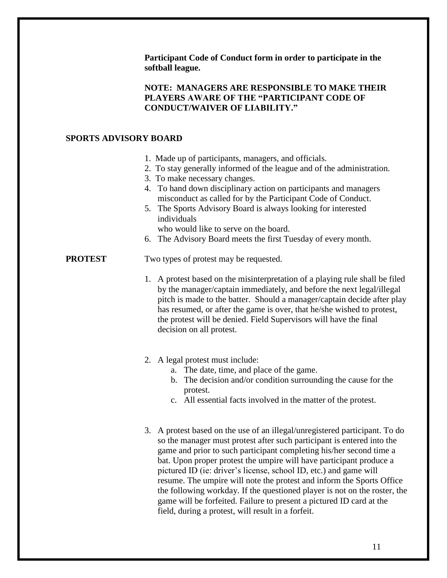**Participant Code of Conduct form in order to participate in the softball league.**

### **NOTE: MANAGERS ARE RESPONSIBLE TO MAKE THEIR PLAYERS AWARE OF THE "PARTICIPANT CODE OF CONDUCT/WAIVER OF LIABILITY."**

### **SPORTS ADVISORY BOARD**

- 1. Made up of participants, managers, and officials.
- 2. To stay generally informed of the league and of the administration.
- 3. To make necessary changes.
- 4. To hand down disciplinary action on participants and managers misconduct as called for by the Participant Code of Conduct.
- 5. The Sports Advisory Board is always looking for interested individuals

who would like to serve on the board.

6. The Advisory Board meets the first Tuesday of every month.

### **PROTEST** Two types of protest may be requested.

1. A protest based on the misinterpretation of a playing rule shall be filed by the manager/captain immediately, and before the next legal/illegal pitch is made to the batter. Should a manager/captain decide after play has resumed, or after the game is over, that he/she wished to protest, the protest will be denied. Field Supervisors will have the final decision on all protest.

### 2. A legal protest must include:

- a. The date, time, and place of the game.
- b. The decision and/or condition surrounding the cause for the protest.
- c. All essential facts involved in the matter of the protest.
- 3. A protest based on the use of an illegal/unregistered participant. To do so the manager must protest after such participant is entered into the game and prior to such participant completing his/her second time a bat. Upon proper protest the umpire will have participant produce a pictured ID (ie: driver's license, school ID, etc.) and game will resume. The umpire will note the protest and inform the Sports Office the following workday. If the questioned player is not on the roster, the game will be forfeited. Failure to present a pictured ID card at the field, during a protest, will result in a forfeit.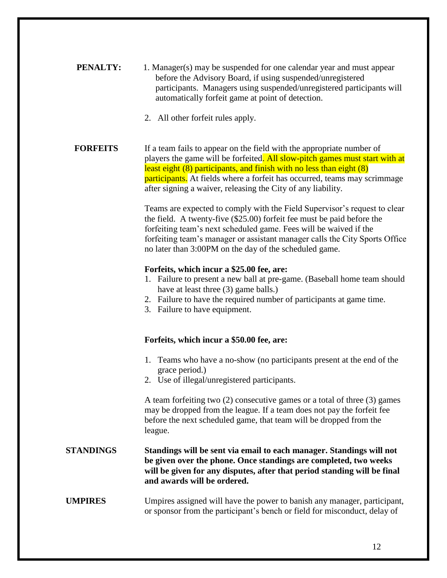| <b>PENALTY:</b> | 1. Manager(s) may be suspended for one calendar year and must appear  |
|-----------------|-----------------------------------------------------------------------|
|                 | before the Advisory Board, if using suspended/unregistered            |
|                 | participants. Managers using suspended/unregistered participants will |
|                 | automatically forfeit game at point of detection.                     |

2. All other forfeit rules apply.

**FORFEITS** If a team fails to appear on the field with the appropriate number of players the game will be forfeited. All slow-pitch games must start with at least eight (8) participants, and finish with no less than eight (8) **participants.** At fields where a forfeit has occurred, teams may scrimmage after signing a waiver, releasing the City of any liability.

> Teams are expected to comply with the Field Supervisor's request to clear the field. A twenty-five (\$25.00) forfeit fee must be paid before the forfeiting team's next scheduled game. Fees will be waived if the forfeiting team's manager or assistant manager calls the City Sports Office no later than 3:00PM on the day of the scheduled game.

### **Forfeits, which incur a \$25.00 fee, are:**

- 1. Failure to present a new ball at pre-game. (Baseball home team should have at least three (3) game balls.)
- 2. Failure to have the required number of participants at game time.
- 3. Failure to have equipment.

### **Forfeits, which incur a \$50.00 fee, are:**

- 1. Teams who have a no-show (no participants present at the end of the grace period.)
- 2. Use of illegal/unregistered participants.

A team forfeiting two (2) consecutive games or a total of three (3) games may be dropped from the league. If a team does not pay the forfeit fee before the next scheduled game, that team will be dropped from the league.

### **STANDINGS Standings will be sent via email to each manager. Standings will not be given over the phone. Once standings are completed, two weeks will be given for any disputes, after that period standing will be final and awards will be ordered.**

### **UMPIRES** Umpires assigned will have the power to banish any manager, participant, or sponsor from the participant's bench or field for misconduct, delay of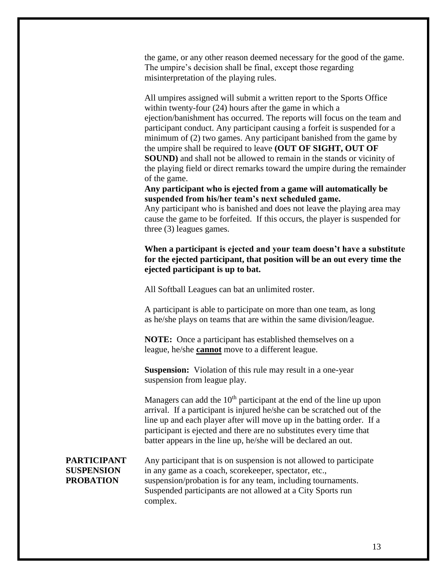the game, or any other reason deemed necessary for the good of the game. The umpire's decision shall be final, except those regarding misinterpretation of the playing rules.

All umpires assigned will submit a written report to the Sports Office within twenty-four (24) hours after the game in which a ejection/banishment has occurred. The reports will focus on the team and participant conduct. Any participant causing a forfeit is suspended for a minimum of (2) two games. Any participant banished from the game by the umpire shall be required to leave **(OUT OF SIGHT, OUT OF SOUND)** and shall not be allowed to remain in the stands or vicinity of the playing field or direct remarks toward the umpire during the remainder of the game.

**Any participant who is ejected from a game will automatically be suspended from his/her team's next scheduled game.**

Any participant who is banished and does not leave the playing area may cause the game to be forfeited. If this occurs, the player is suspended for three (3) leagues games.

### **When a participant is ejected and your team doesn't have a substitute for the ejected participant, that position will be an out every time the ejected participant is up to bat.**

All Softball Leagues can bat an unlimited roster.

A participant is able to participate on more than one team, as long as he/she plays on teams that are within the same division/league.

**NOTE:** Once a participant has established themselves on a league, he/she **cannot** move to a different league.

**Suspension:** Violation of this rule may result in a one-year suspension from league play.

Managers can add the  $10<sup>th</sup>$  participant at the end of the line up upon arrival. If a participant is injured he/she can be scratched out of the line up and each player after will move up in the batting order. If a participant is ejected and there are no substitutes every time that batter appears in the line up, he/she will be declared an out.

**PARTICIPANT** Any participant that is on suspension is not allowed to participate **SUSPENSION** in any game as a coach, scorekeeper, spectator, etc., **PROBATION** suspension/probation is for any team, including tournaments. Suspended participants are not allowed at a City Sports run complex.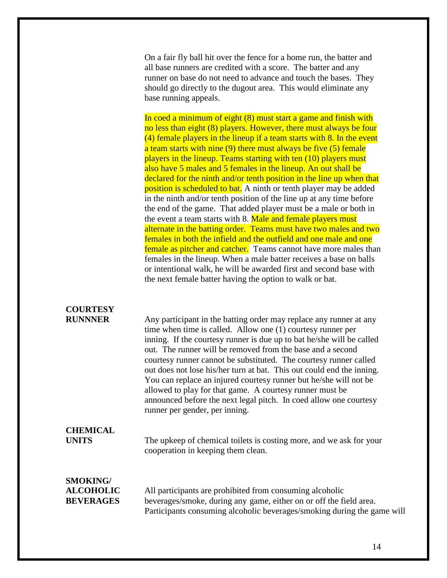On a fair fly ball hit over the fence for a home run, the batter and all base runners are credited with a score. The batter and any runner on base do not need to advance and touch the bases. They should go directly to the dugout area. This would eliminate any base running appeals.

In coed a minimum of eight (8) must start a game and finish with no less than eight (8) players. However, there must always be four (4) female players in the lineup if a team starts with 8. In the event a team starts with nine (9) there must always be five (5) female players in the lineup. Teams starting with ten (10) players must also have 5 males and 5 females in the lineup. An out shall be declared for the ninth and/or tenth position in the line up when that position is scheduled to bat. A ninth or tenth player may be added in the ninth and/or tenth position of the line up at any time before the end of the game. That added player must be a male or both in the event a team starts with 8. Male and female players must alternate in the batting order. Teams must have two males and two females in both the infield and the outfield and one male and one female as pitcher and catcher. Teams cannot have more males than females in the lineup. When a male batter receives a base on balls or intentional walk, he will be awarded first and second base with the next female batter having the option to walk or bat.

# **COURTESY**

**RUNNNER** Any participant in the batting order may replace any runner at any time when time is called. Allow one (1) courtesy runner per inning. If the courtesy runner is due up to bat he/she will be called out. The runner will be removed from the base and a second courtesy runner cannot be substituted. The courtesy runner called out does not lose his/her turn at bat. This out could end the inning. You can replace an injured courtesy runner but he/she will not be allowed to play for that game. A courtesy runner must be announced before the next legal pitch. In coed allow one courtesy runner per gender, per inning.

## **CHEMICAL**

**UNITS** The upkeep of chemical toilets is costing more, and we ask for your cooperation in keeping them clean.

# **SMOKING/**

**ALCOHOLIC** All participants are prohibited from consuming alcoholic **BEVERAGES** beverages/smoke, during any game, either on or off the field area. Participants consuming alcoholic beverages/smoking during the game will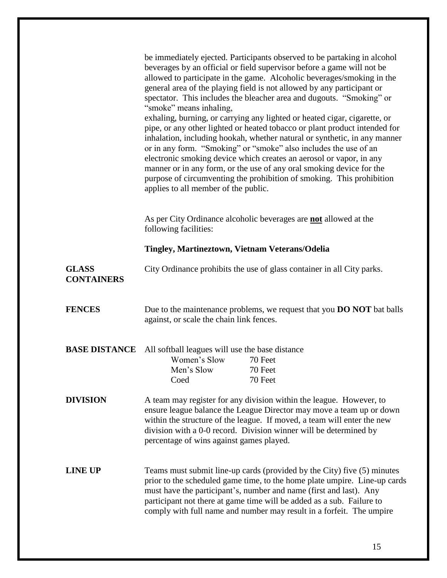|                                   | be immediately ejected. Participants observed to be partaking in alcohol<br>beverages by an official or field supervisor before a game will not be<br>allowed to participate in the game. Alcoholic beverages/smoking in the<br>general area of the playing field is not allowed by any participant or<br>spectator. This includes the bleacher area and dugouts. "Smoking" or<br>"smoke" means inhaling,<br>exhaling, burning, or carrying any lighted or heated cigar, cigarette, or<br>pipe, or any other lighted or heated tobacco or plant product intended for<br>inhalation, including hookah, whether natural or synthetic, in any manner<br>or in any form. "Smoking" or "smoke" also includes the use of an<br>electronic smoking device which creates an aerosol or vapor, in any<br>manner or in any form, or the use of any oral smoking device for the<br>purpose of circumventing the prohibition of smoking. This prohibition<br>applies to all member of the public. |
|-----------------------------------|---------------------------------------------------------------------------------------------------------------------------------------------------------------------------------------------------------------------------------------------------------------------------------------------------------------------------------------------------------------------------------------------------------------------------------------------------------------------------------------------------------------------------------------------------------------------------------------------------------------------------------------------------------------------------------------------------------------------------------------------------------------------------------------------------------------------------------------------------------------------------------------------------------------------------------------------------------------------------------------|
|                                   | As per City Ordinance alcoholic beverages are <b>not</b> allowed at the<br>following facilities:                                                                                                                                                                                                                                                                                                                                                                                                                                                                                                                                                                                                                                                                                                                                                                                                                                                                                      |
|                                   | Tingley, Martineztown, Vietnam Veterans/Odelia                                                                                                                                                                                                                                                                                                                                                                                                                                                                                                                                                                                                                                                                                                                                                                                                                                                                                                                                        |
| <b>GLASS</b><br><b>CONTAINERS</b> | City Ordinance prohibits the use of glass container in all City parks.                                                                                                                                                                                                                                                                                                                                                                                                                                                                                                                                                                                                                                                                                                                                                                                                                                                                                                                |
| <b>FENCES</b>                     | Due to the maintenance problems, we request that you <b>DO NOT</b> bat balls<br>against, or scale the chain link fences.                                                                                                                                                                                                                                                                                                                                                                                                                                                                                                                                                                                                                                                                                                                                                                                                                                                              |
| <b>BASE DISTANCE</b>              | All softball leagues will use the base distance<br>Women's Slow<br>70 Feet<br>Men's Slow<br>70 Feet<br>70 Feet<br>Coed                                                                                                                                                                                                                                                                                                                                                                                                                                                                                                                                                                                                                                                                                                                                                                                                                                                                |
| <b>DIVISION</b>                   | A team may register for any division within the league. However, to<br>ensure league balance the League Director may move a team up or down<br>within the structure of the league. If moved, a team will enter the new<br>division with a 0-0 record. Division winner will be determined by<br>percentage of wins against games played.                                                                                                                                                                                                                                                                                                                                                                                                                                                                                                                                                                                                                                               |
| <b>LINE UP</b>                    | Teams must submit line-up cards (provided by the City) five (5) minutes<br>prior to the scheduled game time, to the home plate umpire. Line-up cards<br>must have the participant's, number and name (first and last). Any<br>participant not there at game time will be added as a sub. Failure to<br>comply with full name and number may result in a forfeit. The umpire                                                                                                                                                                                                                                                                                                                                                                                                                                                                                                                                                                                                           |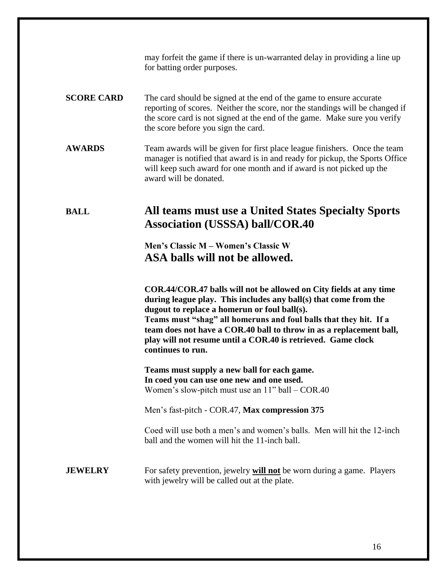may forfeit the game if there is un-warranted delay in providing a line up for batting order purposes.

### **SCORE CARD** The card should be signed at the end of the game to ensure accurate reporting of scores. Neither the score, nor the standings will be changed if the score card is not signed at the end of the game. Make sure you verify the score before you sign the card.

### **AWARDS** Team awards will be given for first place league finishers. Once the team manager is notified that award is in and ready for pickup, the Sports Office will keep such award for one month and if award is not picked up the award will be donated.

### **BALL All teams must use a United States Specialty Sports Association (USSSA) ball/COR.40**

**Men's Classic M – Women's Classic W ASA balls will not be allowed.**

**COR.44/COR.47 balls will not be allowed on City fields at any time during league play. This includes any ball(s) that come from the dugout to replace a homerun or foul ball(s). Teams must "shag" all homeruns and foul balls that they hit. If a team does not have a COR.40 ball to throw in as a replacement ball, play will not resume until a COR.40 is retrieved. Game clock continues to run.**

**Teams must supply a new ball for each game. In coed you can use one new and one used.** Women's slow-pitch must use an 11" ball – COR.40

Men's fast-pitch - COR.47, **Max compression 375**

Coed will use both a men's and women's balls. Men will hit the 12-inch ball and the women will hit the 11-inch ball.

**JEWELRY** For safety prevention, jewelry **will not** be worn during a game. Players with jewelry will be called out at the plate.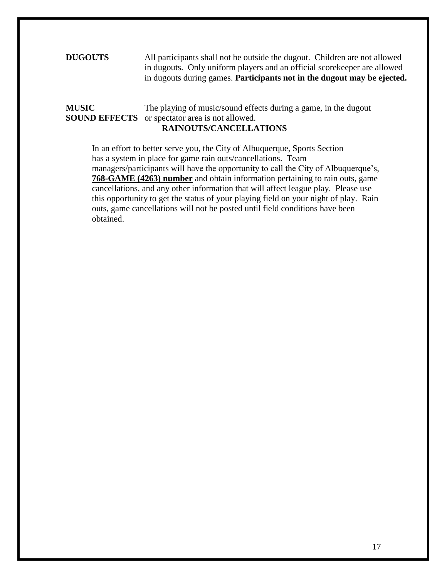### **DUGOUTS** All participants shall not be outside the dugout. Children are not allowed in dugouts. Only uniform players and an official scorekeeper are allowed in dugouts during games. **Participants not in the dugout may be ejected.**

### **MUSIC** The playing of music/sound effects during a game, in the dugout **SOUND EFFECTS** or spectator area is not allowed. **RAINOUTS/CANCELLATIONS**

In an effort to better serve you, the City of Albuquerque, Sports Section has a system in place for game rain outs/cancellations. Team managers/participants will have the opportunity to call the City of Albuquerque's, **768-GAME (4263) number** and obtain information pertaining to rain outs, game cancellations, and any other information that will affect league play. Please use this opportunity to get the status of your playing field on your night of play. Rain outs, game cancellations will not be posted until field conditions have been obtained.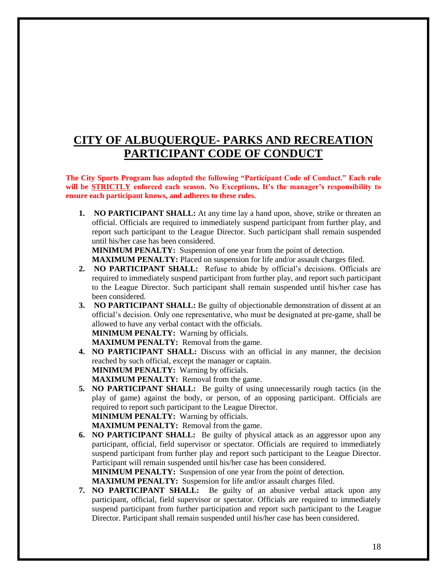### **CITY OF ALBUQUERQUE- PARKS AND RECREATION PARTICIPANT CODE OF CONDUCT**

**The City Sports Program has adopted the following "Participant Code of Conduct." Each rule will be STRICTLY enforced each season. No Exceptions. It's the manager's responsibility to ensure each participant knows, and adheres to these rules.** 

**1. NO PARTICIPANT SHALL:** At any time lay a hand upon, shove, strike or threaten an official. Officials are required to immediately suspend participant from further play, and report such participant to the League Director. Such participant shall remain suspended until his/her case has been considered.

**MINIMUM PENALTY:** Suspension of one year from the point of detection.

**MAXIMUM PENALTY:** Placed on suspension for life and/or assault charges filed.

- **2. NO PARTICIPANT SHALL:** Refuse to abide by official's decisions. Officials are required to immediately suspend participant from further play, and report such participant to the League Director. Such participant shall remain suspended until his/her case has been considered.
- **3. NO PARTICIPANT SHALL:** Be guilty of objectionable demonstration of dissent at an official's decision. Only one representative, who must be designated at pre-game, shall be allowed to have any verbal contact with the officials. **MINIMUM PENALTY:** Warning by officials.

**MAXIMUM PENALTY:** Removal from the game.

- **4. NO PARTICIPANT SHALL:** Discuss with an official in any manner, the decision reached by such official, except the manager or captain. **MINIMUM PENALTY:** Warning by officials. **MAXIMUM PENALTY:** Removal from the game.
- **5. NO PARTICIPANT SHALL:** Be guilty of using unnecessarily rough tactics (in the play of game) against the body, or person, of an opposing participant. Officials are required to report such participant to the League Director. **MINIMUM PENALTY:** Warning by officials.

**MAXIMUM PENALTY:** Removal from the game.

- **6. NO PARTICIPANT SHALL:** Be guilty of physical attack as an aggressor upon any participant, official, field supervisor or spectator. Officials are required to immediately suspend participant from further play and report such participant to the League Director. Participant will remain suspended until his/her case has been considered. **MINIMUM PENALTY:** Suspension of one year from the point of detection. **MAXIMUM PENALTY:** Suspension for life and/or assault charges filed.
- **7. NO PARTICIPANT SHALL:** Be guilty of an abusive verbal attack upon any participant, official, field supervisor or spectator. Officials are required to immediately suspend participant from further participation and report such participant to the League Director. Participant shall remain suspended until his/her case has been considered.